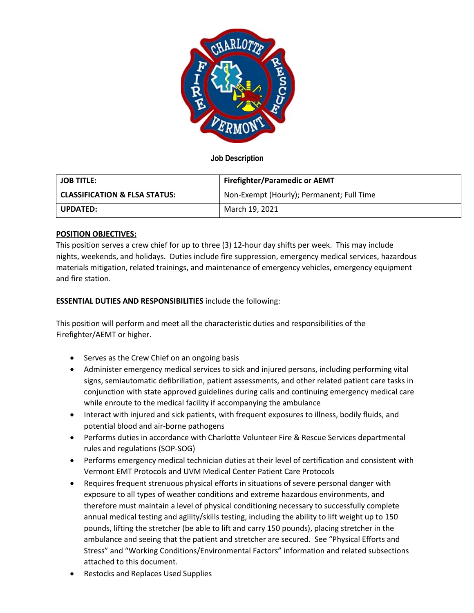

# **Job Description**

| <b>JOB TITLE:</b>                        | <b>Firefighter/Paramedic or AEMT</b>      |
|------------------------------------------|-------------------------------------------|
| <b>CLASSIFICATION &amp; FLSA STATUS:</b> | Non-Exempt (Hourly); Permanent; Full Time |
| <b>UPDATED:</b>                          | March 19, 2021                            |

# **POSITION OBJECTIVES:**

This position serves a crew chief for up to three (3) 12-hour day shifts per week. This may include nights, weekends, and holidays. Duties include fire suppression, emergency medical services, hazardous materials mitigation, related trainings, and maintenance of emergency vehicles, emergency equipment and fire station.

# **ESSENTIAL DUTIES AND RESPONSIBILITIES** include the following:

This position will perform and meet all the characteristic duties and responsibilities of the Firefighter/AEMT or higher.

- Serves as the Crew Chief on an ongoing basis
- Administer emergency medical services to sick and injured persons, including performing vital signs, semiautomatic defibrillation, patient assessments, and other related patient care tasks in conjunction with state approved guidelines during calls and continuing emergency medical care while enroute to the medical facility if accompanying the ambulance
- Interact with injured and sick patients, with frequent exposures to illness, bodily fluids, and potential blood and air-borne pathogens
- Performs duties in accordance with Charlotte Volunteer Fire & Rescue Services departmental rules and regulations (SOP-SOG)
- Performs emergency medical technician duties at their level of certification and consistent with Vermont EMT Protocols and UVM Medical Center Patient Care Protocols
- Requires frequent strenuous physical efforts in situations of severe personal danger with exposure to all types of weather conditions and extreme hazardous environments, and therefore must maintain a level of physical conditioning necessary to successfully complete annual medical testing and agility/skills testing, including the ability to lift weight up to 150 pounds, lifting the stretcher (be able to lift and carry 150 pounds), placing stretcher in the ambulance and seeing that the patient and stretcher are secured. See "Physical Efforts and Stress" and "Working Conditions/Environmental Factors" information and related subsections attached to this document.
- Restocks and Replaces Used Supplies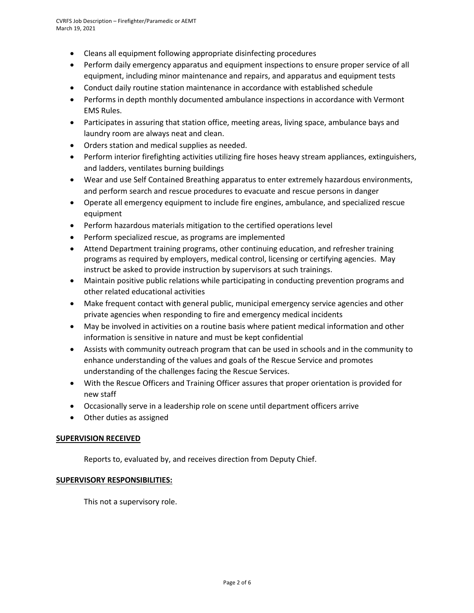- Cleans all equipment following appropriate disinfecting procedures
- Perform daily emergency apparatus and equipment inspections to ensure proper service of all equipment, including minor maintenance and repairs, and apparatus and equipment tests
- Conduct daily routine station maintenance in accordance with established schedule
- Performs in depth monthly documented ambulance inspections in accordance with Vermont EMS Rules.
- Participates in assuring that station office, meeting areas, living space, ambulance bays and laundry room are always neat and clean.
- Orders station and medical supplies as needed.
- Perform interior firefighting activities utilizing fire hoses heavy stream appliances, extinguishers, and ladders, ventilates burning buildings
- Wear and use Self Contained Breathing apparatus to enter extremely hazardous environments, and perform search and rescue procedures to evacuate and rescue persons in danger
- Operate all emergency equipment to include fire engines, ambulance, and specialized rescue equipment
- Perform hazardous materials mitigation to the certified operations level
- Perform specialized rescue, as programs are implemented
- Attend Department training programs, other continuing education, and refresher training programs as required by employers, medical control, licensing or certifying agencies. May instruct be asked to provide instruction by supervisors at such trainings.
- Maintain positive public relations while participating in conducting prevention programs and other related educational activities
- Make frequent contact with general public, municipal emergency service agencies and other private agencies when responding to fire and emergency medical incidents
- May be involved in activities on a routine basis where patient medical information and other information is sensitive in nature and must be kept confidential
- Assists with community outreach program that can be used in schools and in the community to enhance understanding of the values and goals of the Rescue Service and promotes understanding of the challenges facing the Rescue Services.
- With the Rescue Officers and Training Officer assures that proper orientation is provided for new staff
- Occasionally serve in a leadership role on scene until department officers arrive
- Other duties as assigned

## **SUPERVISION RECEIVED**

Reports to, evaluated by, and receives direction from Deputy Chief.

## **SUPERVISORY RESPONSIBILITIES:**

This not a supervisory role.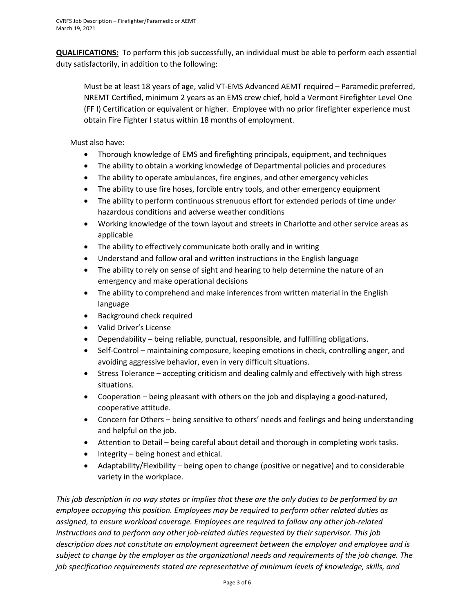**QUALIFICATIONS:** To perform this job successfully, an individual must be able to perform each essential duty satisfactorily, in addition to the following:

Must be at least 18 years of age, valid VT-EMS Advanced AEMT required – Paramedic preferred, NREMT Certified, minimum 2 years as an EMS crew chief, hold a Vermont Firefighter Level One (FF I) Certification or equivalent or higher. Employee with no prior firefighter experience must obtain Fire Fighter I status within 18 months of employment.

Must also have:

- Thorough knowledge of EMS and firefighting principals, equipment, and techniques
- The ability to obtain a working knowledge of Departmental policies and procedures
- The ability to operate ambulances, fire engines, and other emergency vehicles
- The ability to use fire hoses, forcible entry tools, and other emergency equipment
- The ability to perform continuous strenuous effort for extended periods of time under hazardous conditions and adverse weather conditions
- Working knowledge of the town layout and streets in Charlotte and other service areas as applicable
- The ability to effectively communicate both orally and in writing
- Understand and follow oral and written instructions in the English language
- The ability to rely on sense of sight and hearing to help determine the nature of an emergency and make operational decisions
- The ability to comprehend and make inferences from written material in the English language
- Background check required
- Valid Driver's License
- Dependability being reliable, punctual, responsible, and fulfilling obligations.
- Self-Control maintaining composure, keeping emotions in check, controlling anger, and avoiding aggressive behavior, even in very difficult situations.
- Stress Tolerance accepting criticism and dealing calmly and effectively with high stress situations.
- Cooperation being pleasant with others on the job and displaying a good-natured, cooperative attitude.
- Concern for Others being sensitive to others' needs and feelings and being understanding and helpful on the job.
- Attention to Detail being careful about detail and thorough in completing work tasks.
- Integrity being honest and ethical.
- Adaptability/Flexibility being open to change (positive or negative) and to considerable variety in the workplace.

*This job description in no way states or implies that these are the only duties to be performed by an employee occupying this position. Employees may be required to perform other related duties as assigned, to ensure workload coverage. Employees are required to follow any other job-related instructions and to perform any other job-related duties requested by their supervisor. This job description does not constitute an employment agreement between the employer and employee and is subject to change by the employer as the organizational needs and requirements of the job change. The job specification requirements stated are representative of minimum levels of knowledge, skills, and*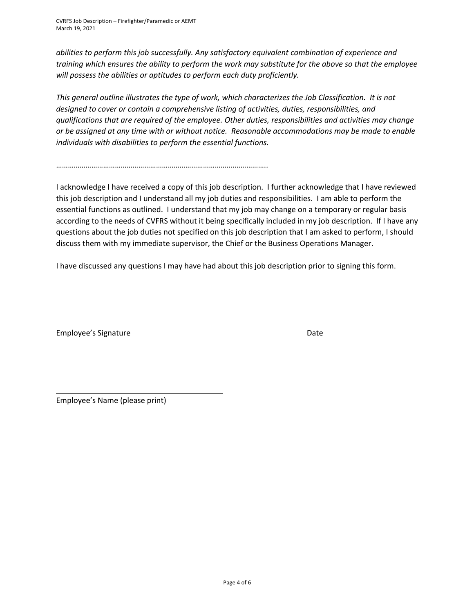*abilities to perform this job successfully. Any satisfactory equivalent combination of experience and training which ensures the ability to perform the work may substitute for the above so that the employee will possess the abilities or aptitudes to perform each duty proficiently.*

*This general outline illustrates the type of work, which characterizes the Job Classification. It is not designed to cover or contain a comprehensive listing of activities, duties, responsibilities, and qualifications that are required of the employee. Other duties, responsibilities and activities may change or be assigned at any time with or without notice. Reasonable accommodations may be made to enable individuals with disabilities to perform the essential functions.*

……………………………………………………………………………….……………..

I acknowledge I have received a copy of this job description. I further acknowledge that I have reviewed this job description and I understand all my job duties and responsibilities. I am able to perform the essential functions as outlined. I understand that my job may change on a temporary or regular basis according to the needs of CVFRS without it being specifically included in my job description. If I have any questions about the job duties not specified on this job description that I am asked to perform, I should discuss them with my immediate supervisor, the Chief or the Business Operations Manager.

I have discussed any questions I may have had about this job description prior to signing this form.

Employee's Signature **Date** Date Date Date

Employee's Name (please print)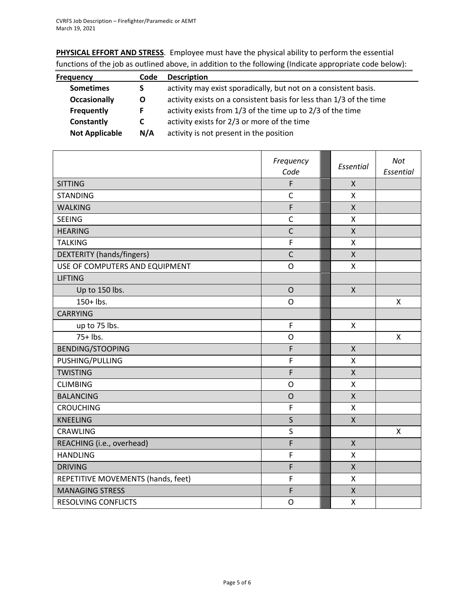**PHYSICAL EFFORT AND STRESS**. Employee must have the physical ability to perform the essential functions of the job as outlined above, in addition to the following (Indicate appropriate code below):

| <b>Frequency</b>      | Code | <b>Description</b>                                                  |
|-----------------------|------|---------------------------------------------------------------------|
| <b>Sometimes</b>      | S.   | activity may exist sporadically, but not on a consistent basis.     |
| <b>Occasionally</b>   | O    | activity exists on a consistent basis for less than 1/3 of the time |
| Frequently            | F.   | activity exists from 1/3 of the time up to 2/3 of the time          |
| Constantly            | C    | activity exists for 2/3 or more of the time                         |
| <b>Not Applicable</b> | N/A  | activity is not present in the position                             |

|                                    | Frequency<br>Code | Essential    | Not<br>Essential |
|------------------------------------|-------------------|--------------|------------------|
| <b>SITTING</b>                     | F                 | $\pmb{\chi}$ |                  |
| <b>STANDING</b>                    | $\mathsf{C}$      | Χ            |                  |
| <b>WALKING</b>                     | $\mathsf F$       | $\mathsf{X}$ |                  |
| <b>SEEING</b>                      | $\mathsf C$       | X            |                  |
| <b>HEARING</b>                     | $\mathsf{C}$      | X            |                  |
| <b>TALKING</b>                     | F                 | X            |                  |
| DEXTERITY (hands/fingers)          | $\mathsf{C}$      | $\mathsf{X}$ |                  |
| USE OF COMPUTERS AND EQUIPMENT     | O                 | X            |                  |
| <b>LIFTING</b>                     |                   |              |                  |
| Up to 150 lbs.                     | $\overline{O}$    | $\mathsf{X}$ |                  |
| 150+ lbs.                          | O                 |              | X                |
| <b>CARRYING</b>                    |                   |              |                  |
| up to 75 lbs.                      | $\mathsf F$       | X            |                  |
| $75+$ lbs.                         | O                 |              | X                |
| <b>BENDING/STOOPING</b>            | F                 | $\mathsf{X}$ |                  |
| PUSHING/PULLING                    | F                 | X            |                  |
| <b>TWISTING</b>                    | F                 | $\mathsf{X}$ |                  |
| <b>CLIMBING</b>                    | O                 | X            |                  |
| <b>BALANCING</b>                   | $\overline{O}$    | X            |                  |
| <b>CROUCHING</b>                   | F                 | Χ            |                  |
| <b>KNEELING</b>                    | $\mathsf{S}$      | $\mathsf{X}$ |                  |
| <b>CRAWLING</b>                    | $\mathsf{S}$      |              | X                |
| REACHING (i.e., overhead)          | F                 | $\mathsf{X}$ |                  |
| <b>HANDLING</b>                    | F                 | X            |                  |
| <b>DRIVING</b>                     | F                 | $\mathsf{X}$ |                  |
| REPETITIVE MOVEMENTS (hands, feet) | F                 | X            |                  |
| <b>MANAGING STRESS</b>             | F                 | $\mathsf{X}$ |                  |
| <b>RESOLVING CONFLICTS</b>         | $\mathsf{O}$      | X            |                  |